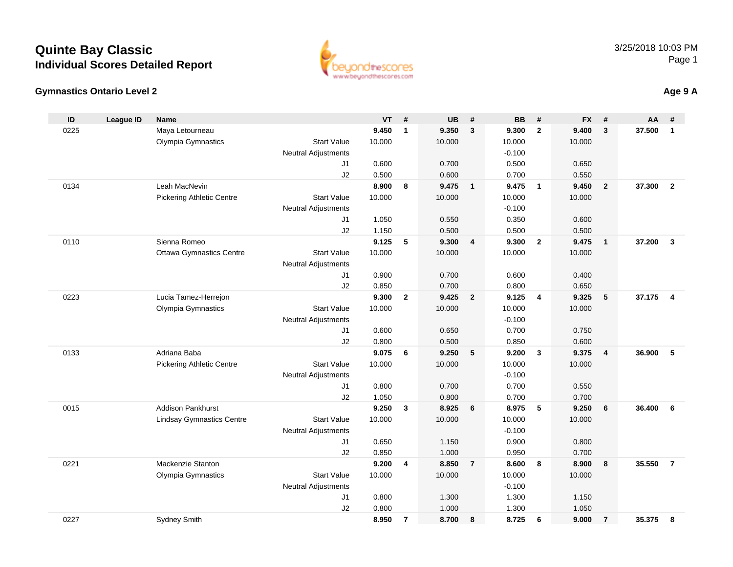#### **Gymnastics Ontario Level 2**

| ID   | <b>League ID</b> | <b>Name</b>                      |                                  | <b>VT</b> | #              | <b>UB</b> | #              | <b>BB</b>          | #                       | <b>FX</b> | #              | AA     | #                       |
|------|------------------|----------------------------------|----------------------------------|-----------|----------------|-----------|----------------|--------------------|-------------------------|-----------|----------------|--------|-------------------------|
| 0225 |                  | Maya Letourneau                  |                                  | 9.450     | $\mathbf{1}$   | 9.350     | $\mathbf{3}$   | 9.300              | $\mathbf{2}$            | 9.400     | 3              | 37.500 | $\mathbf{1}$            |
|      |                  | Olympia Gymnastics               | <b>Start Value</b>               | 10.000    |                | 10.000    |                | 10.000             |                         | 10.000    |                |        |                         |
|      |                  |                                  | <b>Neutral Adjustments</b>       |           |                |           |                | $-0.100$           |                         |           |                |        |                         |
|      |                  |                                  | J1                               | 0.600     |                | 0.700     |                | 0.500              |                         | 0.650     |                |        |                         |
|      |                  |                                  | J2                               | 0.500     |                | 0.600     |                | 0.700              |                         | 0.550     |                |        |                         |
| 0134 |                  | Leah MacNevin                    |                                  | 8.900     | 8              | 9.475     | $\overline{1}$ | 9.475              | $\overline{1}$          | 9.450     | $\overline{2}$ | 37,300 | $\overline{2}$          |
|      |                  | <b>Pickering Athletic Centre</b> | <b>Start Value</b>               | 10.000    |                | 10.000    |                | 10.000             |                         | 10.000    |                |        |                         |
|      |                  |                                  | <b>Neutral Adjustments</b>       |           |                |           |                | $-0.100$           |                         |           |                |        |                         |
|      |                  |                                  | J1                               | 1.050     |                | 0.550     |                | 0.350              |                         | 0.600     |                |        |                         |
|      |                  |                                  | J2                               | 1.150     |                | 0.500     |                | 0.500              |                         | 0.500     |                |        |                         |
| 0110 |                  | Sienna Romeo                     |                                  | 9.125     | 5              | 9.300     | $\overline{4}$ | 9.300              | $\overline{2}$          | 9.475     | $\overline{1}$ | 37.200 | $\mathbf{3}$            |
|      |                  | <b>Ottawa Gymnastics Centre</b>  | <b>Start Value</b>               | 10.000    |                | 10.000    |                | 10.000             |                         | 10.000    |                |        |                         |
|      |                  |                                  | <b>Neutral Adjustments</b>       |           |                |           |                |                    |                         |           |                |        |                         |
|      |                  |                                  | J1                               | 0.900     |                | 0.700     |                | 0.600              |                         | 0.400     |                |        |                         |
|      |                  |                                  | J2                               | 0.850     |                | 0.700     |                | 0.800              |                         | 0.650     |                |        |                         |
| 0223 |                  | Lucia Tamez-Herrejon             |                                  | 9.300     | $\mathbf{2}$   | 9.425     | $\overline{2}$ | 9.125              | $\overline{4}$          | 9.325     | 5              | 37.175 | $\overline{\mathbf{4}}$ |
|      |                  | Olympia Gymnastics               | <b>Start Value</b>               | 10.000    |                | 10.000    |                | 10.000<br>$-0.100$ |                         | 10.000    |                |        |                         |
|      |                  |                                  | <b>Neutral Adjustments</b><br>J1 | 0.600     |                | 0.650     |                | 0.700              |                         | 0.750     |                |        |                         |
|      |                  |                                  | J2                               | 0.800     |                | 0.500     |                | 0.850              |                         | 0.600     |                |        |                         |
| 0133 |                  | Adriana Baba                     |                                  | 9.075     | 6              | 9.250     | 5              | 9.200              | $\overline{\mathbf{3}}$ | 9.375     | $\overline{4}$ | 36.900 | 5                       |
|      |                  | <b>Pickering Athletic Centre</b> | <b>Start Value</b>               | 10.000    |                | 10.000    |                | 10.000             |                         | 10.000    |                |        |                         |
|      |                  |                                  | <b>Neutral Adjustments</b>       |           |                |           |                | $-0.100$           |                         |           |                |        |                         |
|      |                  |                                  | J1                               | 0.800     |                | 0.700     |                | 0.700              |                         | 0.550     |                |        |                         |
|      |                  |                                  | J2                               | 1.050     |                | 0.800     |                | 0.700              |                         | 0.700     |                |        |                         |
| 0015 |                  | <b>Addison Pankhurst</b>         |                                  | 9.250     | $\mathbf{3}$   | 8.925     | 6              | 8.975              | $-5$                    | 9.250     | 6              | 36.400 | 6                       |
|      |                  | <b>Lindsay Gymnastics Centre</b> | <b>Start Value</b>               | 10.000    |                | 10.000    |                | 10.000             |                         | 10.000    |                |        |                         |
|      |                  |                                  | <b>Neutral Adjustments</b>       |           |                |           |                | $-0.100$           |                         |           |                |        |                         |
|      |                  |                                  | J1                               | 0.650     |                | 1.150     |                | 0.900              |                         | 0.800     |                |        |                         |
|      |                  |                                  | J2                               | 0.850     |                | 1.000     |                | 0.950              |                         | 0.700     |                |        |                         |
| 0221 |                  | Mackenzie Stanton                |                                  | 9.200     | 4              | 8.850     | $\overline{7}$ | 8.600              | 8                       | 8.900     | 8              | 35.550 | $\overline{7}$          |
|      |                  | Olympia Gymnastics               | <b>Start Value</b>               | 10.000    |                | 10.000    |                | 10.000             |                         | 10.000    |                |        |                         |
|      |                  |                                  | <b>Neutral Adjustments</b>       |           |                |           |                | $-0.100$           |                         |           |                |        |                         |
|      |                  |                                  | J1                               | 0.800     |                | 1.300     |                | 1.300              |                         | 1.150     |                |        |                         |
|      |                  |                                  | J2                               | 0.800     |                | 1.000     |                | 1.300              |                         | 1.050     |                |        |                         |
| 0227 |                  | <b>Sydney Smith</b>              |                                  | 8.950     | $\overline{7}$ | 8.700     | 8              | 8.725              | 6                       | 9.000     | $\overline{7}$ | 35.375 | 8                       |

#### 3/25/2018 10:03 PMPage 1

**Age 9 A**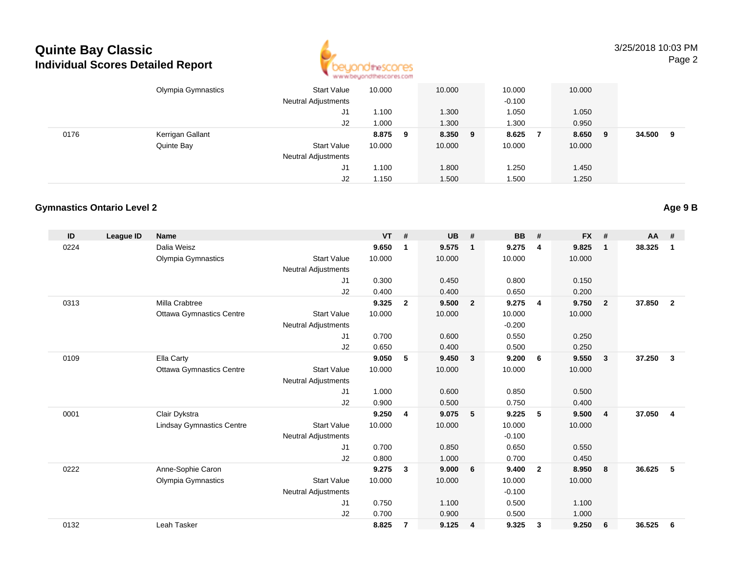

3/25/2018 10:03 PMPage 2

|      | Olympia Gymnastics | <b>Start Value</b><br><b>Neutral Adjustments</b> | 10.000 |   | 10.000  | 10.000<br>$-0.100$ | 10.000 |   |        |   |
|------|--------------------|--------------------------------------------------|--------|---|---------|--------------------|--------|---|--------|---|
|      |                    |                                                  | .100   |   |         |                    | 1.050  |   |        |   |
|      |                    | J1                                               |        |   | 1.300   | 1.050              |        |   |        |   |
|      |                    | J2                                               | 000.1  |   | 1.300   | 1.300              | 0.950  |   |        |   |
| 0176 | Kerrigan Gallant   |                                                  | 8.875  | 9 | 8.350 9 | 8.625              | 8.650  | 9 | 34.500 | 9 |
|      | Quinte Bay         | <b>Start Value</b>                               | 10.000 |   | 10.000  | 10.000             | 10.000 |   |        |   |
|      |                    | <b>Neutral Adjustments</b>                       |        |   |         |                    |        |   |        |   |
|      |                    | J1                                               | 1.100  |   | 1.800   | 1.250              | 1.450  |   |        |   |
|      |                    | J2                                               | 1.150  |   | 1.500   | 1.500              | 1.250  |   |        |   |

#### **Gymnastics Ontario Level 2**

| ID   | <b>League ID</b> | <b>Name</b>                      |                            | <b>VT</b> | #              | <b>UB</b> | #              | <b>BB</b> | #              | <b>FX</b> | #              | $AA$ # |                |
|------|------------------|----------------------------------|----------------------------|-----------|----------------|-----------|----------------|-----------|----------------|-----------|----------------|--------|----------------|
| 0224 |                  | Dalia Weisz                      |                            | 9.650     | 1              | 9.575     | $\mathbf{1}$   | 9.275     | 4              | 9.825     | $\mathbf 1$    | 38.325 | 1              |
|      |                  | Olympia Gymnastics               | <b>Start Value</b>         | 10.000    |                | 10.000    |                | 10.000    |                | 10.000    |                |        |                |
|      |                  |                                  | <b>Neutral Adjustments</b> |           |                |           |                |           |                |           |                |        |                |
|      |                  |                                  | J1                         | 0.300     |                | 0.450     |                | 0.800     |                | 0.150     |                |        |                |
|      |                  |                                  | J2                         | 0.400     |                | 0.400     |                | 0.650     |                | 0.200     |                |        |                |
| 0313 |                  | Milla Crabtree                   |                            | 9.325     | $\overline{2}$ | 9.500     | $\overline{2}$ | 9.275     | $\overline{4}$ | 9.750     | $\overline{2}$ | 37,850 | $\overline{2}$ |
|      |                  | <b>Ottawa Gymnastics Centre</b>  | <b>Start Value</b>         | 10.000    |                | 10.000    |                | 10.000    |                | 10.000    |                |        |                |
|      |                  |                                  | <b>Neutral Adjustments</b> |           |                |           |                | $-0.200$  |                |           |                |        |                |
|      |                  |                                  | J <sub>1</sub>             | 0.700     |                | 0.600     |                | 0.550     |                | 0.250     |                |        |                |
|      |                  |                                  | J <sub>2</sub>             | 0.650     |                | 0.400     |                | 0.500     |                | 0.250     |                |        |                |
| 0109 |                  | Ella Carty                       |                            | 9.050     | 5              | 9.450     | $\mathbf{3}$   | 9.200     | 6              | 9.550     | 3              | 37.250 | 3              |
|      |                  | <b>Ottawa Gymnastics Centre</b>  | <b>Start Value</b>         | 10.000    |                | 10.000    |                | 10.000    |                | 10.000    |                |        |                |
|      |                  |                                  | <b>Neutral Adjustments</b> |           |                |           |                |           |                |           |                |        |                |
|      |                  |                                  | J1                         | 1.000     |                | 0.600     |                | 0.850     |                | 0.500     |                |        |                |
|      |                  |                                  | J <sub>2</sub>             | 0.900     |                | 0.500     |                | 0.750     |                | 0.400     |                |        |                |
| 0001 |                  | Clair Dykstra                    |                            | 9.250     | 4              | 9.075     | - 5            | 9.225     | 5              | 9.500     | $\overline{4}$ | 37.050 | 4              |
|      |                  | <b>Lindsay Gymnastics Centre</b> | <b>Start Value</b>         | 10.000    |                | 10.000    |                | 10.000    |                | 10.000    |                |        |                |
|      |                  |                                  | <b>Neutral Adjustments</b> |           |                |           |                | $-0.100$  |                |           |                |        |                |
|      |                  |                                  | J <sub>1</sub>             | 0.700     |                | 0.850     |                | 0.650     |                | 0.550     |                |        |                |
|      |                  |                                  | J2                         | 0.800     |                | 1.000     |                | 0.700     |                | 0.450     |                |        |                |
| 0222 |                  | Anne-Sophie Caron                |                            | 9.275     | 3              | 9.000     | 6              | 9.400     | $\overline{2}$ | 8.950     | 8              | 36.625 | 5              |
|      |                  | Olympia Gymnastics               | <b>Start Value</b>         | 10.000    |                | 10.000    |                | 10.000    |                | 10.000    |                |        |                |
|      |                  |                                  | <b>Neutral Adjustments</b> |           |                |           |                | $-0.100$  |                |           |                |        |                |
|      |                  |                                  | J <sub>1</sub>             | 0.750     |                | 1.100     |                | 0.500     |                | 1.100     |                |        |                |
|      |                  |                                  | J2                         | 0.700     |                | 0.900     |                | 0.500     |                | 1.000     |                |        |                |
| 0132 |                  | Leah Tasker                      |                            | 8.825     | 7              | 9.125     | $\overline{4}$ | 9.325     | 3              | 9.250     | 6              | 36.525 | 6              |

**Age 9 B**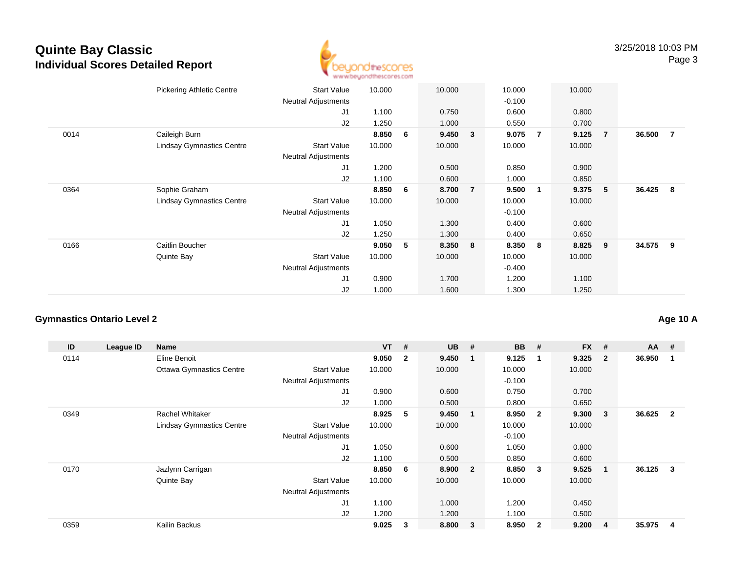

|      | <b>Pickering Athletic Centre</b> | <b>Start Value</b>         | 10.000 |   | 10.000 |                | 10.000   |                | 10.000 |                |          |                |
|------|----------------------------------|----------------------------|--------|---|--------|----------------|----------|----------------|--------|----------------|----------|----------------|
|      |                                  | <b>Neutral Adjustments</b> |        |   |        |                | $-0.100$ |                |        |                |          |                |
|      |                                  | J1                         | 1.100  |   | 0.750  |                | 0.600    |                | 0.800  |                |          |                |
|      |                                  | J2                         | 1.250  |   | 1.000  |                | 0.550    |                | 0.700  |                |          |                |
| 0014 | Caileigh Burn                    |                            | 8.850  | 6 | 9.450  | 3              | 9.075    | $\overline{7}$ | 9.125  | $\overline{7}$ | 36.500   | $\overline{7}$ |
|      | <b>Lindsay Gymnastics Centre</b> | <b>Start Value</b>         | 10.000 |   | 10.000 |                | 10.000   |                | 10.000 |                |          |                |
|      |                                  | <b>Neutral Adjustments</b> |        |   |        |                |          |                |        |                |          |                |
|      |                                  | J <sub>1</sub>             | 1.200  |   | 0.500  |                | 0.850    |                | 0.900  |                |          |                |
|      |                                  | J2                         | 1.100  |   | 0.600  |                | 1.000    |                | 0.850  |                |          |                |
| 0364 | Sophie Graham                    |                            | 8.850  | 6 | 8.700  | $\overline{7}$ | 9.500    | 1              | 9.375  | 5              | 36.425 8 |                |
|      | <b>Lindsay Gymnastics Centre</b> | <b>Start Value</b>         | 10.000 |   | 10.000 |                | 10.000   |                | 10.000 |                |          |                |
|      |                                  | Neutral Adjustments        |        |   |        |                | $-0.100$ |                |        |                |          |                |
|      |                                  | J1                         | 1.050  |   | 1.300  |                | 0.400    |                | 0.600  |                |          |                |
|      |                                  | J2                         | 1.250  |   | 1.300  |                | 0.400    |                | 0.650  |                |          |                |
| 0166 | Caitlin Boucher                  |                            | 9.050  | 5 | 8.350  | 8              | 8.350    | 8              | 8.825  | 9              | 34.575 9 |                |
|      | Quinte Bay                       | <b>Start Value</b>         | 10.000 |   | 10.000 |                | 10.000   |                | 10.000 |                |          |                |
|      |                                  | <b>Neutral Adjustments</b> |        |   |        |                | $-0.400$ |                |        |                |          |                |
|      |                                  | J1                         | 0.900  |   | 1.700  |                | 1.200    |                | 1.100  |                |          |                |
|      |                                  | J2                         | 1.000  |   | 1.600  |                | 1.300    |                | 1.250  |                |          |                |
|      |                                  |                            |        |   |        |                |          |                |        |                |          |                |

#### **Gymnastics Ontario Level 2**

| ID   | League ID | <b>Name</b>                      |                            | $VT$ # |                | <b>UB</b> | #                       | <b>BB</b> | #            | <b>FX</b> | #              | $AA$ # |                |
|------|-----------|----------------------------------|----------------------------|--------|----------------|-----------|-------------------------|-----------|--------------|-----------|----------------|--------|----------------|
| 0114 |           | Eline Benoit                     |                            | 9.050  | $\overline{2}$ | 9.450     | $\overline{\mathbf{1}}$ | 9.125     | $\mathbf 1$  | 9.325     | $\overline{2}$ | 36.950 |                |
|      |           | <b>Ottawa Gymnastics Centre</b>  | <b>Start Value</b>         | 10.000 |                | 10.000    |                         | 10.000    |              | 10.000    |                |        |                |
|      |           |                                  | <b>Neutral Adjustments</b> |        |                |           |                         | $-0.100$  |              |           |                |        |                |
|      |           |                                  | J1                         | 0.900  |                | 0.600     |                         | 0.750     |              | 0.700     |                |        |                |
|      |           |                                  | J <sub>2</sub>             | 1.000  |                | 0.500     |                         | 0.800     |              | 0.650     |                |        |                |
| 0349 |           | Rachel Whitaker                  |                            | 8.925  | 5              | 9.450     | $\overline{\mathbf{1}}$ | 8.950     | $\mathbf{2}$ | 9.300     | 3              | 36.625 | $\overline{2}$ |
|      |           | <b>Lindsay Gymnastics Centre</b> | <b>Start Value</b>         | 10.000 |                | 10.000    |                         | 10.000    |              | 10.000    |                |        |                |
|      |           |                                  | Neutral Adjustments        |        |                |           |                         | $-0.100$  |              |           |                |        |                |
|      |           |                                  | J1                         | 1.050  |                | 0.600     |                         | 1.050     |              | 0.800     |                |        |                |
|      |           |                                  | J <sub>2</sub>             | 1.100  |                | 0.500     |                         | 0.850     |              | 0.600     |                |        |                |
| 0170 |           | Jazlynn Carrigan                 |                            | 8.850  | - 6            | 8.900     | $\overline{\mathbf{2}}$ | 8.850     | -3           | 9.525     |                | 36.125 | -3             |
|      |           | Quinte Bay                       | <b>Start Value</b>         | 10.000 |                | 10.000    |                         | 10.000    |              | 10.000    |                |        |                |
|      |           |                                  | <b>Neutral Adjustments</b> |        |                |           |                         |           |              |           |                |        |                |
|      |           |                                  | J1                         | 1.100  |                | 1.000     |                         | 1.200     |              | 0.450     |                |        |                |
|      |           |                                  | J <sub>2</sub>             | 1.200  |                | 1.200     |                         | 1.100     |              | 0.500     |                |        |                |
| 0359 |           | Kailin Backus                    |                            | 9.025  | 3              | 8.800     | $\mathbf{3}$            | 8.950     | $\mathbf{2}$ | 9.200     | 4              | 35.975 | 4              |

## **Age 10 A**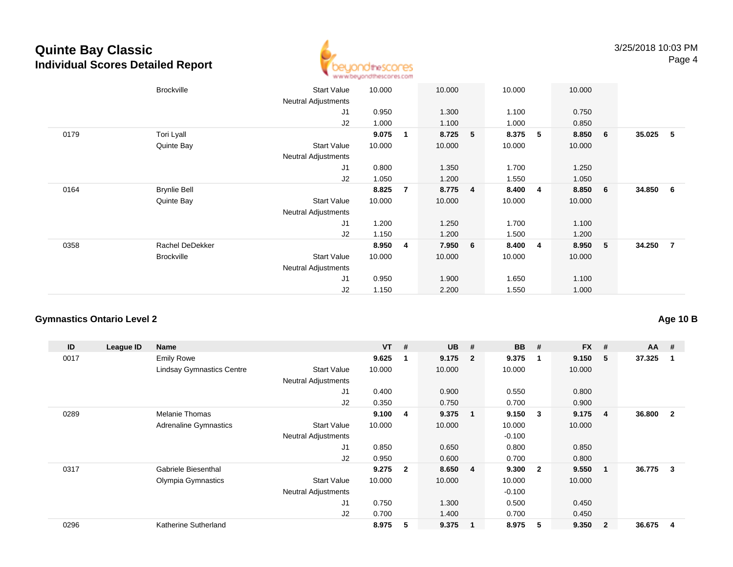

|      | <b>Brockville</b>   | <b>Start Value</b><br><b>Neutral Adjustments</b> | 10.000 | 10.000                  |                 | 10.000 |   | 10.000 |   |          |      |
|------|---------------------|--------------------------------------------------|--------|-------------------------|-----------------|--------|---|--------|---|----------|------|
|      |                     | J <sub>1</sub>                                   | 0.950  | 1.300                   |                 | 1.100  |   | 0.750  |   |          |      |
|      |                     | J2                                               | 1.000  | 1.100                   |                 | 1.000  |   | 0.850  |   |          |      |
| 0179 | Tori Lyall          |                                                  | 9.075  | 8.725<br>1              | 5               | 8.375  | 5 | 8.850  | 6 | 35.025   | $-5$ |
|      | Quinte Bay          | <b>Start Value</b>                               | 10.000 | 10.000                  |                 | 10.000 |   | 10.000 |   |          |      |
|      |                     | Neutral Adjustments                              |        |                         |                 |        |   |        |   |          |      |
|      |                     | J <sub>1</sub>                                   | 0.800  | 1.350                   |                 | 1.700  |   | 1.250  |   |          |      |
|      |                     | J2                                               | 1.050  | 1.200                   |                 | 1.550  |   | 1.050  |   |          |      |
| 0164 | <b>Brynlie Bell</b> |                                                  | 8.825  | 8.775<br>$\overline{7}$ | $\overline{4}$  | 8.400  | 4 | 8.850  | 6 | 34.850 6 |      |
|      | Quinte Bay          | <b>Start Value</b>                               | 10.000 | 10.000                  |                 | 10.000 |   | 10.000 |   |          |      |
|      |                     | Neutral Adjustments                              |        |                         |                 |        |   |        |   |          |      |
|      |                     | J <sub>1</sub>                                   | 1.200  | 1.250                   |                 | 1.700  |   | 1.100  |   |          |      |
|      |                     | J2                                               | 1.150  | 1.200                   |                 | 1.500  |   | 1.200  |   |          |      |
| 0358 | Rachel DeDekker     |                                                  | 8.950  | 7.950<br>4              | $6\phantom{1}6$ | 8.400  | 4 | 8.950  | 5 | 34.250 7 |      |
|      | <b>Brockville</b>   | <b>Start Value</b>                               | 10.000 | 10.000                  |                 | 10.000 |   | 10.000 |   |          |      |
|      |                     | <b>Neutral Adjustments</b>                       |        |                         |                 |        |   |        |   |          |      |
|      |                     | J <sub>1</sub>                                   | 0.950  | 1.900                   |                 | 1.650  |   | 1.100  |   |          |      |
|      |                     | J2                                               | 1.150  | 2.200                   |                 | 1.550  |   | 1.000  |   |          |      |

### **Gymnastics Ontario Level 2**

| ID   | League ID | <b>Name</b>                      |                            | $VT$ # |              | <b>UB</b> | #                       | <b>BB</b> | #                       | <b>FX</b> | #              | $AA$ # |                |
|------|-----------|----------------------------------|----------------------------|--------|--------------|-----------|-------------------------|-----------|-------------------------|-----------|----------------|--------|----------------|
| 0017 |           | <b>Emily Rowe</b>                |                            | 9.625  | -1           | 9.175     | $\overline{\mathbf{2}}$ | 9.375     | $\mathbf 1$             | 9.150     | 5              | 37.325 |                |
|      |           | <b>Lindsay Gymnastics Centre</b> | <b>Start Value</b>         | 10.000 |              | 10.000    |                         | 10.000    |                         | 10.000    |                |        |                |
|      |           |                                  | Neutral Adjustments        |        |              |           |                         |           |                         |           |                |        |                |
|      |           |                                  | J1                         | 0.400  |              | 0.900     |                         | 0.550     |                         | 0.800     |                |        |                |
|      |           |                                  | J2                         | 0.350  |              | 0.750     |                         | 0.700     |                         | 0.900     |                |        |                |
| 0289 |           | Melanie Thomas                   |                            | 9.100  | 4            | 9.375     | $\overline{\mathbf{1}}$ | 9.150     | -3                      | 9.175     | 4              | 36.800 | $\overline{2}$ |
|      |           | <b>Adrenaline Gymnastics</b>     | <b>Start Value</b>         | 10.000 |              | 10.000    |                         | 10.000    |                         | 10.000    |                |        |                |
|      |           |                                  | <b>Neutral Adjustments</b> |        |              |           |                         | $-0.100$  |                         |           |                |        |                |
|      |           |                                  | J1                         | 0.850  |              | 0.650     |                         | 0.800     |                         | 0.850     |                |        |                |
|      |           |                                  | J2                         | 0.950  |              | 0.600     |                         | 0.700     |                         | 0.800     |                |        |                |
| 0317 |           | Gabriele Biesenthal              |                            | 9.275  | $\mathbf{2}$ | 8.650     | $\overline{4}$          | 9.300     | $\overline{\mathbf{2}}$ | 9.550     | 1              | 36.775 | 3              |
|      |           | Olympia Gymnastics               | <b>Start Value</b>         | 10.000 |              | 10.000    |                         | 10.000    |                         | 10.000    |                |        |                |
|      |           |                                  | <b>Neutral Adjustments</b> |        |              |           |                         | $-0.100$  |                         |           |                |        |                |
|      |           |                                  | J <sub>1</sub>             | 0.750  |              | 1.300     |                         | 0.500     |                         | 0.450     |                |        |                |
|      |           |                                  | J2                         | 0.700  |              | 1.400     |                         | 0.700     |                         | 0.450     |                |        |                |
| 0296 |           | Katherine Sutherland             |                            | 8.975  | 5            | 9.375     | $\overline{1}$          | 8.975     | 5                       | 9.350     | $\overline{2}$ | 36.675 | 4              |

## **Age 10 B**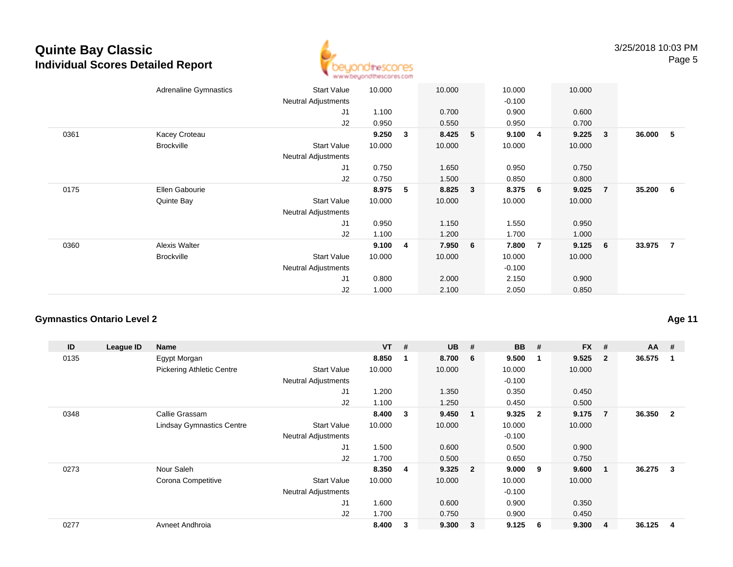

|      | <b>Adrenaline Gymnastics</b> | <b>Start Value</b><br><b>Neutral Adjustments</b> | 10.000 |                | 10.000 |   | 10.000<br>$-0.100$ |                | 10.000 |                |          |  |
|------|------------------------------|--------------------------------------------------|--------|----------------|--------|---|--------------------|----------------|--------|----------------|----------|--|
|      |                              | J1                                               | 1.100  |                | 0.700  |   | 0.900              |                | 0.600  |                |          |  |
|      |                              | J2                                               | 0.950  |                | 0.550  |   | 0.950              |                | 0.700  |                |          |  |
| 0361 | Kacey Croteau                |                                                  | 9.250  | $\mathbf{3}$   | 8.425  | 5 | 9.100              | 4              | 9.225  | 3              | 36.000 5 |  |
|      | <b>Brockville</b>            | <b>Start Value</b>                               | 10.000 |                | 10.000 |   | 10.000             |                | 10.000 |                |          |  |
|      |                              | <b>Neutral Adjustments</b>                       |        |                |        |   |                    |                |        |                |          |  |
|      |                              | J1                                               | 0.750  |                | 1.650  |   | 0.950              |                | 0.750  |                |          |  |
|      |                              | J2                                               | 0.750  |                | 1.500  |   | 0.850              |                | 0.800  |                |          |  |
| 0175 | Ellen Gabourie               |                                                  | 8.975  | 5              | 8.825  | 3 | 8.375              | 6              | 9.025  | $\overline{7}$ | 35.200 6 |  |
|      | Quinte Bay                   | <b>Start Value</b>                               | 10.000 |                | 10.000 |   | 10.000             |                | 10.000 |                |          |  |
|      |                              | Neutral Adjustments                              |        |                |        |   |                    |                |        |                |          |  |
|      |                              | J1                                               | 0.950  |                | 1.150  |   | 1.550              |                | 0.950  |                |          |  |
|      |                              | J2                                               | 1.100  |                | 1.200  |   | 1.700              |                | 1.000  |                |          |  |
| 0360 | Alexis Walter                |                                                  | 9.100  | $\overline{4}$ | 7.950  | 6 | 7.800              | $\overline{7}$ | 9.125  | 6              | 33.975 7 |  |
|      | <b>Brockville</b>            | <b>Start Value</b>                               | 10.000 |                | 10.000 |   | 10.000             |                | 10.000 |                |          |  |
|      |                              | <b>Neutral Adjustments</b>                       |        |                |        |   | $-0.100$           |                |        |                |          |  |
|      |                              | J1                                               | 0.800  |                | 2.000  |   | 2.150              |                | 0.900  |                |          |  |
|      |                              | J2                                               | 1.000  |                | 2.100  |   | 2.050              |                | 0.850  |                |          |  |

#### **Gymnastics Ontario Level 2**

| ID   | League ID | <b>Name</b>                      |                            | $VT$ # |   | <b>UB</b> | #                       | <b>BB</b> | #              | <b>FX</b> | #              | $AA$ # |                |
|------|-----------|----------------------------------|----------------------------|--------|---|-----------|-------------------------|-----------|----------------|-----------|----------------|--------|----------------|
| 0135 |           | Egypt Morgan                     |                            | 8.850  |   | 8.700     | - 6                     | 9.500     | $\mathbf 1$    | 9.525     | $\overline{2}$ | 36.575 |                |
|      |           | <b>Pickering Athletic Centre</b> | <b>Start Value</b>         | 10.000 |   | 10.000    |                         | 10.000    |                | 10.000    |                |        |                |
|      |           |                                  | <b>Neutral Adjustments</b> |        |   |           |                         | $-0.100$  |                |           |                |        |                |
|      |           |                                  | J <sub>1</sub>             | 1.200  |   | 1.350     |                         | 0.350     |                | 0.450     |                |        |                |
|      |           |                                  | J <sub>2</sub>             | 1.100  |   | 1.250     |                         | 0.450     |                | 0.500     |                |        |                |
| 0348 |           | Callie Grassam                   |                            | 8.400  | 3 | 9.450     | - 1                     | 9.325     | $\overline{2}$ | 9.175     | $\overline{7}$ | 36.350 | $\overline{2}$ |
|      |           | <b>Lindsay Gymnastics Centre</b> | <b>Start Value</b>         | 10.000 |   | 10.000    |                         | 10.000    |                | 10.000    |                |        |                |
|      |           |                                  | <b>Neutral Adjustments</b> |        |   |           |                         | $-0.100$  |                |           |                |        |                |
|      |           |                                  | J1                         | 1.500  |   | 0.600     |                         | 0.500     |                | 0.900     |                |        |                |
|      |           |                                  | J2                         | 1.700  |   | 0.500     |                         | 0.650     |                | 0.750     |                |        |                |
| 0273 |           | Nour Saleh                       |                            | 8.350  | 4 | 9.325     | $\overline{\mathbf{2}}$ | 9.000     | - 9            | 9.600     | 1              | 36.275 | 3              |
|      |           | Corona Competitive               | <b>Start Value</b>         | 10.000 |   | 10.000    |                         | 10.000    |                | 10.000    |                |        |                |
|      |           |                                  | <b>Neutral Adjustments</b> |        |   |           |                         | $-0.100$  |                |           |                |        |                |
|      |           |                                  | J1                         | 1.600  |   | 0.600     |                         | 0.900     |                | 0.350     |                |        |                |
|      |           |                                  | J <sub>2</sub>             | 1.700  |   | 0.750     |                         | 0.900     |                | 0.450     |                |        |                |
| 0277 |           | Avneet Andhroia                  |                            | 8.400  | 3 | 9.300     | $\overline{\mathbf{3}}$ | 9.125     | 6              | 9.300     | 4              | 36.125 | 4              |

**Age 11**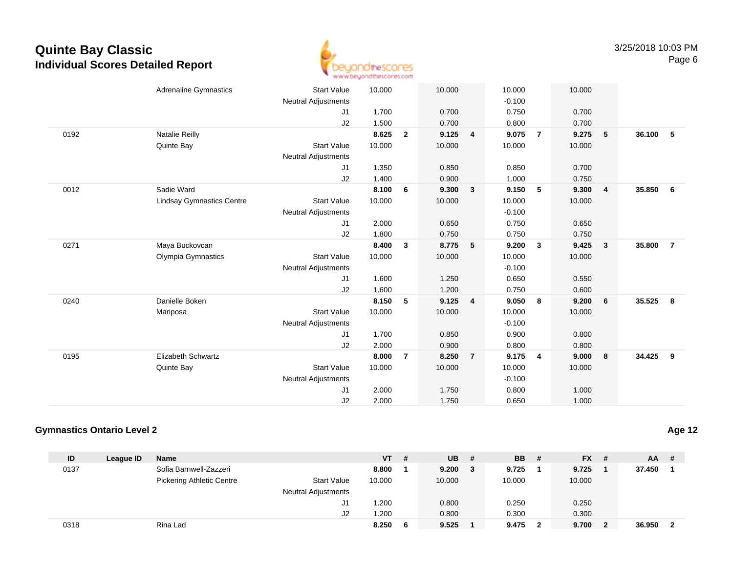

|      | <b>Adrenaline Gymnastics</b>     | <b>Start Value</b>         | 10.000 |                | 10.000 |                         | 10.000   |                         | 10.000 |                         |          |                 |
|------|----------------------------------|----------------------------|--------|----------------|--------|-------------------------|----------|-------------------------|--------|-------------------------|----------|-----------------|
|      |                                  | <b>Neutral Adjustments</b> |        |                |        |                         | $-0.100$ |                         |        |                         |          |                 |
|      |                                  | J1                         | 1.700  |                | 0.700  |                         | 0.750    |                         | 0.700  |                         |          |                 |
|      |                                  | J2                         | 1.500  |                | 0.700  |                         | 0.800    |                         | 0.700  |                         |          |                 |
| 0192 | <b>Natalie Reilly</b>            |                            | 8.625  | $\overline{2}$ | 9.125  | 4                       | 9.075    | $\overline{7}$          | 9.275  | $-5$                    | 36.100   | 5               |
|      | Quinte Bay                       | <b>Start Value</b>         | 10.000 |                | 10.000 |                         | 10.000   |                         | 10.000 |                         |          |                 |
|      |                                  | <b>Neutral Adjustments</b> |        |                |        |                         |          |                         |        |                         |          |                 |
|      |                                  | J1                         | 1.350  |                | 0.850  |                         | 0.850    |                         | 0.700  |                         |          |                 |
|      |                                  | J2                         | 1.400  |                | 0.900  |                         | 1.000    |                         | 0.750  |                         |          |                 |
| 0012 | Sadie Ward                       |                            | 8.100  | 6              | 9.300  | $\mathbf{3}$            | 9.150    | 5                       | 9.300  | $\overline{4}$          | 35.850   | $6\overline{6}$ |
|      | <b>Lindsay Gymnastics Centre</b> | <b>Start Value</b>         | 10.000 |                | 10.000 |                         | 10.000   |                         | 10.000 |                         |          |                 |
|      |                                  | <b>Neutral Adjustments</b> |        |                |        |                         | $-0.100$ |                         |        |                         |          |                 |
|      |                                  | J1                         | 2.000  |                | 0.650  |                         | 0.750    |                         | 0.650  |                         |          |                 |
|      |                                  | J2                         | 1.800  |                | 0.750  |                         | 0.750    |                         | 0.750  |                         |          |                 |
| 0271 | Maya Buckovcan                   |                            | 8.400  | 3              | 8.775  | 5                       | 9.200    | $\overline{\mathbf{3}}$ | 9.425  | $\overline{\mathbf{3}}$ | 35.800   | $\overline{7}$  |
|      | Olympia Gymnastics               | <b>Start Value</b>         | 10.000 |                | 10.000 |                         | 10.000   |                         | 10.000 |                         |          |                 |
|      |                                  | <b>Neutral Adjustments</b> |        |                |        |                         | $-0.100$ |                         |        |                         |          |                 |
|      |                                  | J1                         | 1.600  |                | 1.250  |                         | 0.650    |                         | 0.550  |                         |          |                 |
|      |                                  | J2                         | 1.600  |                | 1.200  |                         | 0.750    |                         | 0.600  |                         |          |                 |
| 0240 | Danielle Boken                   |                            | 8.150  | 5              | 9.125  | $\overline{\mathbf{4}}$ | 9.050    | 8                       | 9.200  | 6                       | 35.525   | 8               |
|      | Mariposa                         | <b>Start Value</b>         | 10.000 |                | 10.000 |                         | 10.000   |                         | 10.000 |                         |          |                 |
|      |                                  | <b>Neutral Adjustments</b> |        |                |        |                         | $-0.100$ |                         |        |                         |          |                 |
|      |                                  | J1                         | 1.700  |                | 0.850  |                         | 0.900    |                         | 0.800  |                         |          |                 |
|      |                                  | J2                         | 2.000  |                | 0.900  |                         | 0.800    |                         | 0.800  |                         |          |                 |
| 0195 | Elizabeth Schwartz               |                            | 8.000  | $\overline{7}$ | 8.250  | $\overline{7}$          | 9.175    | $\overline{4}$          | 9.000  | 8                       | 34.425 9 |                 |
|      | Quinte Bay                       | <b>Start Value</b>         | 10.000 |                | 10.000 |                         | 10.000   |                         | 10.000 |                         |          |                 |
|      |                                  | <b>Neutral Adjustments</b> |        |                |        |                         | $-0.100$ |                         |        |                         |          |                 |
|      |                                  | J1                         | 2.000  |                | 1.750  |                         | 0.800    |                         | 1.000  |                         |          |                 |
|      |                                  | J2                         | 2.000  |                | 1.750  |                         | 0.650    |                         | 1.000  |                         |          |                 |
|      |                                  |                            |        |                |        |                         |          |                         |        |                         |          |                 |

#### **Gymnastics Ontario Level 2**

| ID   | League ID | <b>Name</b>                      |                            | VT     | # | UB.    | # | <b>BB</b> # |   | $FX$ #  | $AA$ # |                |
|------|-----------|----------------------------------|----------------------------|--------|---|--------|---|-------------|---|---------|--------|----------------|
| 0137 |           | Sofia Barnwell-Zazzeri           |                            | 8.800  |   | 9.200  | 3 | 9.725       |   | 9.725   | 37.450 |                |
|      |           | <b>Pickering Athletic Centre</b> | <b>Start Value</b>         | 10.000 |   | 10.000 |   | 10.000      |   | 10.000  |        |                |
|      |           |                                  | <b>Neutral Adjustments</b> |        |   |        |   |             |   |         |        |                |
|      |           |                                  | J1                         | 1.200  |   | 0.800  |   | 0.250       |   | 0.250   |        |                |
|      |           |                                  | J2                         | 200. ا |   | 0.800  |   | 0.300       |   | 0.300   |        |                |
| 0318 |           | Rina Lad                         |                            | 8.250  |   | 9.525  |   | 9.475       | 2 | 9.700 2 | 36.950 | $\overline{2}$ |

**Age 12**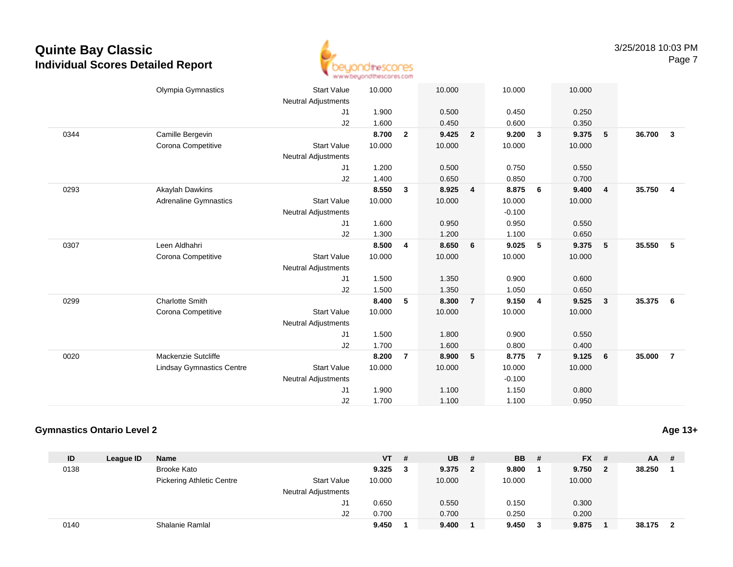

|      | Olympia Gymnastics               | <b>Start Value</b><br><b>Neutral Adjustments</b> | 10.000 |                | 10.000 |                | 10.000   |                | 10.000 |                         |        |                         |
|------|----------------------------------|--------------------------------------------------|--------|----------------|--------|----------------|----------|----------------|--------|-------------------------|--------|-------------------------|
|      |                                  | J1                                               | 1.900  |                | 0.500  |                | 0.450    |                | 0.250  |                         |        |                         |
|      |                                  | J2                                               | 1.600  |                | 0.450  |                | 0.600    |                | 0.350  |                         |        |                         |
| 0344 | Camille Bergevin                 |                                                  | 8.700  | $\overline{2}$ | 9.425  | $\overline{2}$ | 9.200    | $\mathbf{3}$   | 9.375  | 5                       | 36.700 | $\overline{\mathbf{3}}$ |
|      | Corona Competitive               | <b>Start Value</b>                               | 10.000 |                | 10.000 |                | 10.000   |                | 10.000 |                         |        |                         |
|      |                                  | <b>Neutral Adjustments</b>                       |        |                |        |                |          |                |        |                         |        |                         |
|      |                                  | J1                                               | 1.200  |                | 0.500  |                | 0.750    |                | 0.550  |                         |        |                         |
|      |                                  | J2                                               | 1.400  |                | 0.650  |                | 0.850    |                | 0.700  |                         |        |                         |
| 0293 | <b>Akaylah Dawkins</b>           |                                                  | 8.550  | $\mathbf{3}$   | 8.925  | $\overline{4}$ | 8.875    | 6              | 9.400  | $\overline{4}$          | 35.750 | $\overline{4}$          |
|      | <b>Adrenaline Gymnastics</b>     | <b>Start Value</b>                               | 10.000 |                | 10.000 |                | 10.000   |                | 10.000 |                         |        |                         |
|      |                                  | <b>Neutral Adjustments</b>                       |        |                |        |                | $-0.100$ |                |        |                         |        |                         |
|      |                                  | J1                                               | 1.600  |                | 0.950  |                | 0.950    |                | 0.550  |                         |        |                         |
|      |                                  | J2                                               | 1.300  |                | 1.200  |                | 1.100    |                | 0.650  |                         |        |                         |
| 0307 | Leen Aldhahri                    |                                                  | 8.500  | 4              | 8.650  | 6              | 9.025    | 5              | 9.375  | 5                       | 35.550 | 5                       |
|      | Corona Competitive               | <b>Start Value</b>                               | 10.000 |                | 10.000 |                | 10.000   |                | 10.000 |                         |        |                         |
|      |                                  | <b>Neutral Adjustments</b>                       |        |                |        |                |          |                |        |                         |        |                         |
|      |                                  | J1                                               | 1.500  |                | 1.350  |                | 0.900    |                | 0.600  |                         |        |                         |
|      |                                  | J2                                               | 1.500  |                | 1.350  |                | 1.050    |                | 0.650  |                         |        |                         |
| 0299 | <b>Charlotte Smith</b>           |                                                  | 8.400  | 5              | 8.300  | $\overline{7}$ | 9.150    | $\overline{4}$ | 9.525  | $\overline{\mathbf{3}}$ | 35.375 | - 6                     |
|      | Corona Competitive               | <b>Start Value</b>                               | 10.000 |                | 10.000 |                | 10.000   |                | 10.000 |                         |        |                         |
|      |                                  | <b>Neutral Adjustments</b>                       |        |                |        |                |          |                |        |                         |        |                         |
|      |                                  | J1                                               | 1.500  |                | 1.800  |                | 0.900    |                | 0.550  |                         |        |                         |
|      |                                  | J2                                               | 1.700  |                | 1.600  |                | 0.800    |                | 0.400  |                         |        |                         |
| 0020 | Mackenzie Sutcliffe              |                                                  | 8.200  | $\overline{7}$ | 8.900  | 5              | 8.775    | $\overline{7}$ | 9.125  | 6                       | 35.000 | $\overline{7}$          |
|      | <b>Lindsay Gymnastics Centre</b> | <b>Start Value</b>                               | 10.000 |                | 10.000 |                | 10.000   |                | 10.000 |                         |        |                         |
|      |                                  | <b>Neutral Adjustments</b>                       |        |                |        |                | $-0.100$ |                |        |                         |        |                         |
|      |                                  | J1                                               | 1.900  |                | 1.100  |                | 1.150    |                | 0.800  |                         |        |                         |
|      |                                  | J2                                               | 1.700  |                | 1.100  |                | 1.100    |                | 0.950  |                         |        |                         |
|      |                                  |                                                  |        |                |        |                |          |                |        |                         |        |                         |

#### **Gymnastics Ontario Level 2**

| ID   | League ID | <b>Name</b>                      |                            | VT     | # | <b>UB</b> | #              | <b>BB</b> # |   | $FX$ # |   | $AA$ #   |  |
|------|-----------|----------------------------------|----------------------------|--------|---|-----------|----------------|-------------|---|--------|---|----------|--|
| 0138 |           | Brooke Kato                      |                            | 9.325  |   | 9.375     | $\overline{2}$ | 9.800       |   | 9.750  | 2 | 38.250   |  |
|      |           | <b>Pickering Athletic Centre</b> | <b>Start Value</b>         | 10.000 |   | 10.000    |                | 10.000      |   | 10.000 |   |          |  |
|      |           |                                  | <b>Neutral Adjustments</b> |        |   |           |                |             |   |        |   |          |  |
|      |           |                                  | J1                         | 0.650  |   | 0.550     |                | 0.150       |   | 0.300  |   |          |  |
|      |           |                                  | J2                         | 0.700  |   | 0.700     |                | 0.250       |   | 0.200  |   |          |  |
| 0140 |           | Shalanie Ramlal                  |                            | 9.450  |   | 9.400     |                | 9.450       | 3 | 9.875  |   | 38.175 2 |  |

**Age 13+**